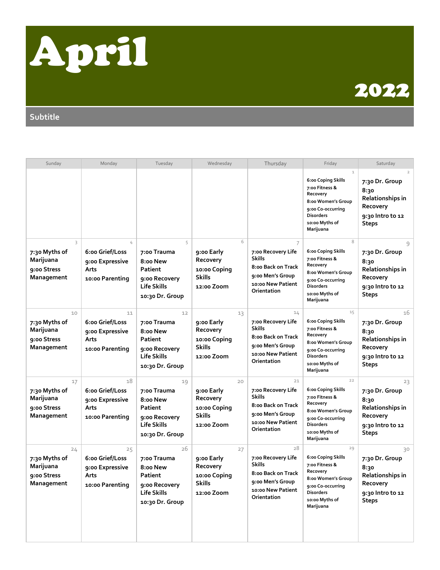

## 2022

**Subtitle**

| Sunday                                                        | Monday                                                              | Tuesday                                                                                            | Wednesday                                                                   | Thursday                                                                                                                | Friday                                                                                                                                                          | Saturday                                                                                                     |
|---------------------------------------------------------------|---------------------------------------------------------------------|----------------------------------------------------------------------------------------------------|-----------------------------------------------------------------------------|-------------------------------------------------------------------------------------------------------------------------|-----------------------------------------------------------------------------------------------------------------------------------------------------------------|--------------------------------------------------------------------------------------------------------------|
|                                                               |                                                                     |                                                                                                    |                                                                             |                                                                                                                         | $\mathcal{L}$<br>6:00 Coping Skills<br>7:00 Fitness &<br>Recovery<br>8:00 Women's Group<br>9:00 Co-occurring<br><b>Disorders</b><br>10:00 Myths of<br>Marijuana | $\overline{2}$<br>7:30 Dr. Group<br>8:30<br>Relationships in<br>Recovery<br>9:30 Intro to 12<br><b>Steps</b> |
| 3<br>7:30 Myths of<br>Marijuana<br>9:00 Stress<br>Management  | 4<br>6:00 Grief/Loss<br>9:00 Expressive<br>Arts<br>10:00 Parenting  | 5<br>7:00 Trauma<br>8:00 New<br>Patient<br>9:00 Recovery<br><b>Life Skills</b><br>10:30 Dr. Group  | 6<br>9:00 Early<br>Recovery<br>10:00 Coping<br><b>Skills</b><br>12:00 Zoom  | 7<br>7:00 Recovery Life<br><b>Skills</b><br>8:00 Back on Track<br>9:00 Men's Group<br>10:00 New Patient<br>Orientation  | 8<br>6:00 Coping Skills<br>7:00 Fitness &<br>Recovery<br>8:00 Women's Group<br>9:00 Co-occurring<br><b>Disorders</b><br>10:00 Myths of<br>Marijuana             | 9<br>7:30 Dr. Group<br>8:30<br><b>Relationships in</b><br>Recovery<br>9:30 Intro to 12<br><b>Steps</b>       |
| 10<br>7:30 Myths of<br>Marijuana<br>9:00 Stress<br>Management | 11<br>6:00 Grief/Loss<br>9:00 Expressive<br>Arts<br>10:00 Parenting | 12<br>7:00 Trauma<br>8:00 New<br>Patient<br>9:00 Recovery<br><b>Life Skills</b><br>10:30 Dr. Group | 13<br>9:00 Early<br>Recovery<br>10:00 Coping<br><b>Skills</b><br>12:00 Zoom | 14<br>7:00 Recovery Life<br><b>Skills</b><br>8:00 Back on Track<br>9:00 Men's Group<br>10:00 New Patient<br>Orientation | 15<br>6:00 Coping Skills<br>7:00 Fitness &<br>Recovery<br>8:00 Women's Group<br>9:00 Co-occurring<br><b>Disorders</b><br>10:00 Myths of<br>Marijuana            | 16<br>7:30 Dr. Group<br>8:30<br>Relationships in<br>Recovery<br>9:30 Intro to 12<br><b>Steps</b>             |
| 17<br>7:30 Myths of<br>Marijuana<br>9:00 Stress<br>Management | 18<br>6:00 Grief/Loss<br>9:00 Expressive<br>Arts<br>10:00 Parenting | 19<br>7:00 Trauma<br>8:00 New<br>Patient<br>9:00 Recovery<br><b>Life Skills</b><br>10:30 Dr. Group | 20<br>9:00 Early<br>Recovery<br>10:00 Coping<br><b>Skills</b><br>12:00 Zoom | 21<br>7:00 Recovery Life<br><b>Skills</b><br>8:00 Back on Track<br>9:00 Men's Group<br>10:00 New Patient<br>Orientation | 22<br>6:00 Coping Skills<br>7:00 Fitness &<br>Recovery<br>8:00 Women's Group<br>9:00 Co-occurring<br><b>Disorders</b><br>10:00 Myths of<br>Marijuana            | 23<br>7:30 Dr. Group<br>8:30<br>Relationships in<br>Recovery<br>9:30 Intro to 12<br><b>Steps</b>             |
| 24<br>7:30 Myths of<br>Marijuana<br>9:00 Stress<br>Management | 25<br>6:00 Grief/Loss<br>9:00 Expressive<br>Arts<br>10:00 Parenting | 26<br>7:00 Trauma<br>8:00 New<br>Patient<br>9:00 Recovery<br>Life Skills<br>10:30 Dr. Group        | 27<br>9:00 Early<br>Recovery<br>10:00 Coping<br><b>Skills</b><br>12:00 Zoom | 28<br>7:00 Recovery Life<br><b>Skills</b><br>8:00 Back on Track<br>9:00 Men's Group<br>10:00 New Patient<br>Orientation | 29<br>6:00 Coping Skills<br>7:00 Fitness &<br>Recovery<br>8:00 Women's Group<br>9:00 Co-occurring<br><b>Disorders</b><br>10:00 Myths of<br>Marijuana            | 30<br>7:30 Dr. Group<br>8:30<br>Relationships in<br>Recovery<br>9:30 Intro to 12<br><b>Steps</b>             |